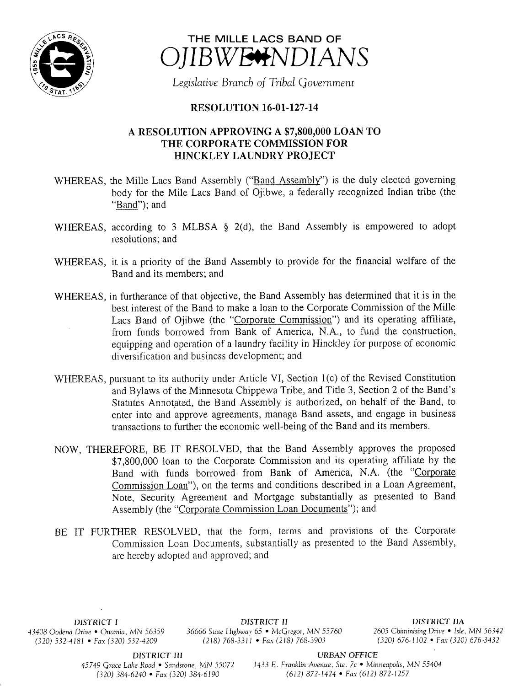



Legislative Branch of Tribal Government

## **RESOLUTION 16-01-127-14**

## A RESOLUTION APPROVING A \$7, 800, 000 LOAN TO THE CORPORATE COMMISSION FOR HINCKLEY LAUNDRY PROJECT

- WHEREAS, the Mille Lacs Band Assembly ("Band Assembly") is the duly elected governing body for the Mile Lacs Band of Ojibwe, a federally recognized Indian tribe ( the " $Band$ "); and
- WHEREAS, according to 3 MLBSA  $\S$  2(d), the Band Assembly is empowered to adopt resolutions; and
- WHEREAS, it is <sup>a</sup> priority of the Band Assembly to provide for the financial welfare of the Band and its members; and
- WHEREAS, in furtherance of that objective, the Band Assembly has determined that it is in the best interest of the Band to make <sup>a</sup> loan to the Corporate Commission of the Mille Lacs Band of Ojibwe (the "Corporate Commission") and its operating affiliate, from funds borrowed from Bank of America, N.A., to fund the construction, equipping and operation of <sup>a</sup> laundry facility in Hinckley for purpose of economic diversification and business development; and
- WHEREAS, pursuant to its authority under Article VI, Section 1(c) of the Revised Constitution and Bylaws of the Minnesota Chippewa Tribe, and Title 3, Section 2 of the Band' <sup>s</sup> Statutes Annotated, the Band Assembly is authorized, on behalf of the Band, to enter into and approve agreements, manage Band assets, and engage in business transactions to further the economic well-being of the Band and its members.
- NOW, THEREFORE, BE IT RESOLVED, that the Band Assembly approves the proposed 7, 800,000 loan to the Corporate Commission and its operating affiliate by the Band with funds borrowed from Bank of America, N.A. (the "Corporate Commission Loan"), on the terms and conditions described in a Loan Agreement, Note, Security Agreement and Mortgage substantially as presented to Band Assembly (the "Corporate Commission Loan Documents"); and
- BE IT FURTHER RESOLVED, that the form, terms and provisions of the Corporate Commission Loan Documents, substantially as presented to the Band Assembly, are hereby adopted and approved; and

 $(320)$  532-4181 • Fax (320) 532-4209

DISTRICT I **DISTRICT II**<br>District II DISTRICT IIA District IIA District IIA Dive • Onamia, MN 56359 36666 State Highway 65 • McGregor, MN 55760 2605 Chiminising Drive • Isle, MN 56342 43408 Oodena Drive • Onamia, MN 56359 36666 State Highway 65 • McGregor, MN 55760 2605 Chiminising Drive • Isle, MN 56342<br>(320) 532-4181 • Fax (320) 532-4209 (218) 768-3311 • Fax (218) 768-3903 (320) 676-1102 • Fax (320)

DISTRICT III URBAN OFFICE

45749 Grace Lake Road • Sandstone, MN 55072 1433 E. Franklin Avenue, Ste. 7c • Minneapolis, MN 55404 320) 384- 6240 • Fax( 320) 384- 6190 612) 872- 1424 • Fax ( 612) 872- 1257